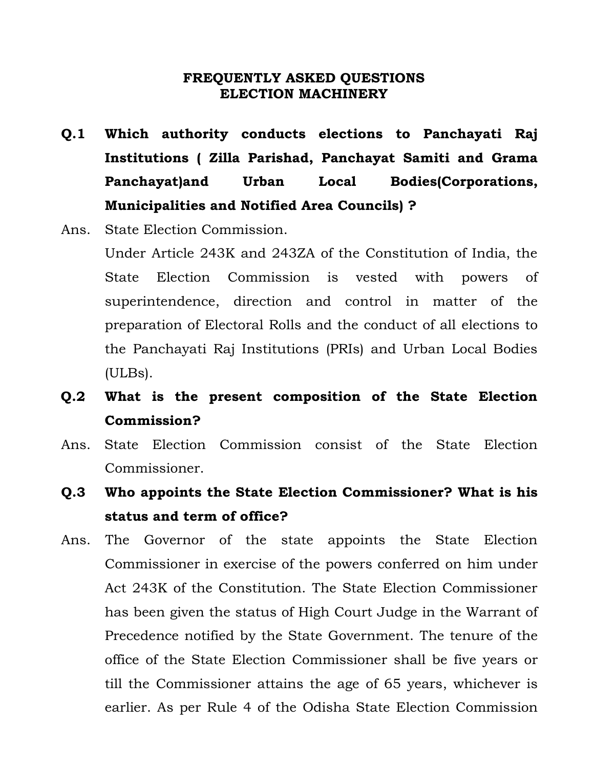#### **FREQUENTLY ASKED QUESTIONS ELECTION MACHINERY**

- **Q.1 Which authority conducts elections to Panchayati Raj Institutions ( Zilla Parishad, Panchayat Samiti and Grama Panchayat)and Urban Local Bodies(Corporations, Municipalities and Notified Area Councils) ?**
- Ans. State Election Commission.

Under Article 243K and 243ZA of the Constitution of India, the State Election Commission is vested with powers of superintendence, direction and control in matter of the preparation of Electoral Rolls and the conduct of all elections to the Panchayati Raj Institutions (PRIs) and Urban Local Bodies (ULBs).

- **Q.2 What is the present composition of the State Election Commission?**
- Ans. State Election Commission consist of the State Election Commissioner.
- **Q.3 Who appoints the State Election Commissioner? What is his status and term of office?**
- Ans. The Governor of the state appoints the State Election Commissioner in exercise of the powers conferred on him under Act 243K of the Constitution. The State Election Commissioner has been given the status of High Court Judge in the Warrant of Precedence notified by the State Government. The tenure of the office of the State Election Commissioner shall be five years or till the Commissioner attains the age of 65 years, whichever is earlier. As per Rule 4 of the Odisha State Election Commission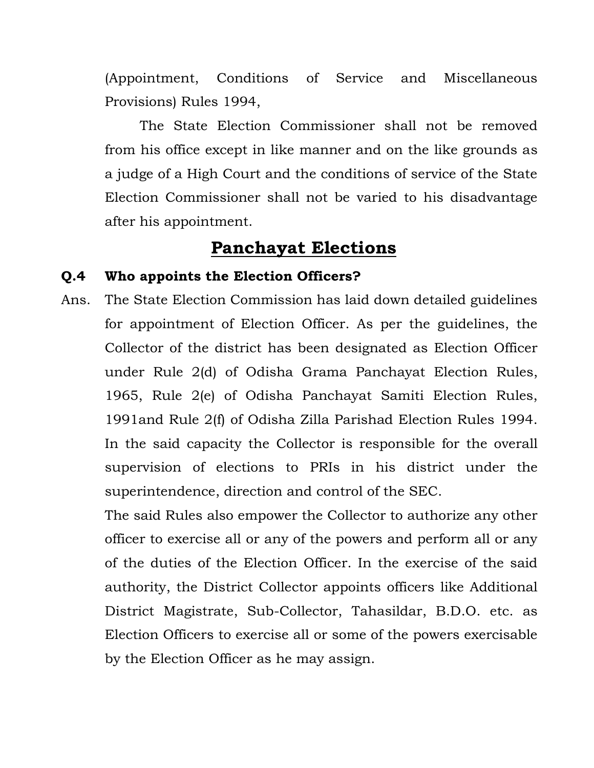(Appointment, Conditions of Service and Miscellaneous Provisions) Rules 1994,

The State Election Commissioner shall not be removed from his office except in like manner and on the like grounds as a judge of a High Court and the conditions of service of the State Election Commissioner shall not be varied to his disadvantage after his appointment.

## **Panchayat Elections**

### **Q.4 Who appoints the Election Officers?**

Ans. The State Election Commission has laid down detailed guidelines for appointment of Election Officer. As per the guidelines, the Collector of the district has been designated as Election Officer under Rule 2(d) of Odisha Grama Panchayat Election Rules, 1965, Rule 2(e) of Odisha Panchayat Samiti Election Rules, 1991and Rule 2(f) of Odisha Zilla Parishad Election Rules 1994. In the said capacity the Collector is responsible for the overall supervision of elections to PRIs in his district under the superintendence, direction and control of the SEC.

The said Rules also empower the Collector to authorize any other officer to exercise all or any of the powers and perform all or any of the duties of the Election Officer. In the exercise of the said authority, the District Collector appoints officers like Additional District Magistrate, Sub-Collector, Tahasildar, B.D.O. etc. as Election Officers to exercise all or some of the powers exercisable by the Election Officer as he may assign.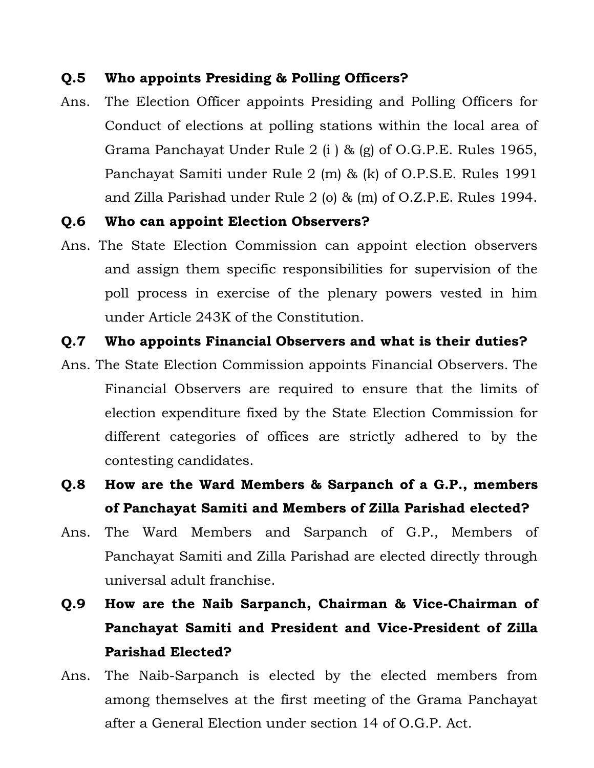### **Q.5 Who appoints Presiding & Polling Officers?**

Ans. The Election Officer appoints Presiding and Polling Officers for Conduct of elections at polling stations within the local area of Grama Panchayat Under Rule 2 (i ) & (g) of O.G.P.E. Rules 1965, Panchayat Samiti under Rule 2 (m) & (k) of O.P.S.E. Rules 1991 and Zilla Parishad under Rule 2 (o) & (m) of O.Z.P.E. Rules 1994.

### **Q.6 Who can appoint Election Observers?**

Ans. The State Election Commission can appoint election observers and assign them specific responsibilities for supervision of the poll process in exercise of the plenary powers vested in him under Article 243K of the Constitution.

### **Q.7 Who appoints Financial Observers and what is their duties?**

- Ans. The State Election Commission appoints Financial Observers. The Financial Observers are required to ensure that the limits of election expenditure fixed by the State Election Commission for different categories of offices are strictly adhered to by the contesting candidates.
- **Q.8 How are the Ward Members & Sarpanch of a G.P., members of Panchayat Samiti and Members of Zilla Parishad elected?**
- Ans. The Ward Members and Sarpanch of G.P., Members of Panchayat Samiti and Zilla Parishad are elected directly through universal adult franchise.
- **Q.9 How are the Naib Sarpanch, Chairman & Vice-Chairman of Panchayat Samiti and President and Vice-President of Zilla Parishad Elected?**
- Ans. The Naib-Sarpanch is elected by the elected members from among themselves at the first meeting of the Grama Panchayat after a General Election under section 14 of O.G.P. Act.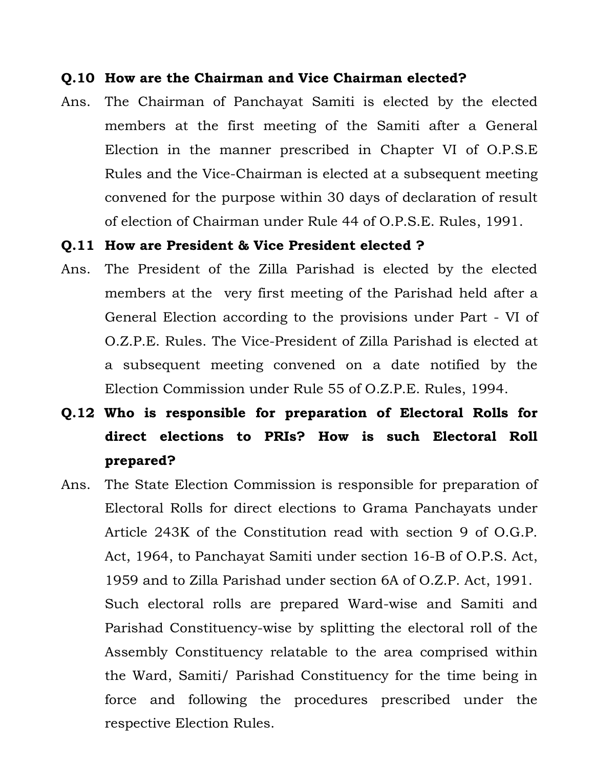#### **Q.10 How are the Chairman and Vice Chairman elected?**

Ans. The Chairman of Panchayat Samiti is elected by the elected members at the first meeting of the Samiti after a General Election in the manner prescribed in Chapter VI of O.P.S.E Rules and the Vice-Chairman is elected at a subsequent meeting convened for the purpose within 30 days of declaration of result of election of Chairman under Rule 44 of O.P.S.E. Rules, 1991.

#### **Q.11 How are President & Vice President elected ?**

- Ans. The President of the Zilla Parishad is elected by the elected members at the very first meeting of the Parishad held after a General Election according to the provisions under Part - VI of O.Z.P.E. Rules. The Vice-President of Zilla Parishad is elected at a subsequent meeting convened on a date notified by the Election Commission under Rule 55 of O.Z.P.E. Rules, 1994.
- **Q.12 Who is responsible for preparation of Electoral Rolls for direct elections to PRIs? How is such Electoral Roll prepared?**
- Ans. The State Election Commission is responsible for preparation of Electoral Rolls for direct elections to Grama Panchayats under Article 243K of the Constitution read with section 9 of O.G.P. Act, 1964, to Panchayat Samiti under section 16-B of O.P.S. Act, 1959 and to Zilla Parishad under section 6A of O.Z.P. Act, 1991. Such electoral rolls are prepared Ward-wise and Samiti and Parishad Constituency-wise by splitting the electoral roll of the Assembly Constituency relatable to the area comprised within the Ward, Samiti/ Parishad Constituency for the time being in force and following the procedures prescribed under the respective Election Rules.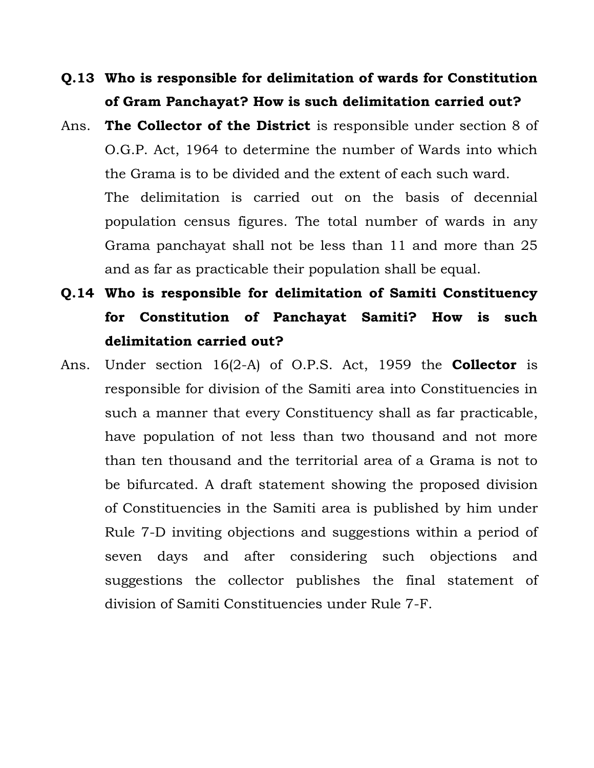- **Q.13 Who is responsible for delimitation of wards for Constitution of Gram Panchayat? How is such delimitation carried out?**
- Ans. **The Collector of the District** is responsible under section 8 of O.G.P. Act, 1964 to determine the number of Wards into which the Grama is to be divided and the extent of each such ward. The delimitation is carried out on the basis of decennial population census figures. The total number of wards in any Grama panchayat shall not be less than 11 and more than 25 and as far as practicable their population shall be equal.
- **Q.14 Who is responsible for delimitation of Samiti Constituency for Constitution of Panchayat Samiti? How is such delimitation carried out?**
- Ans. Under section 16(2-A) of O.P.S. Act, 1959 the **Collector** is responsible for division of the Samiti area into Constituencies in such a manner that every Constituency shall as far practicable, have population of not less than two thousand and not more than ten thousand and the territorial area of a Grama is not to be bifurcated. A draft statement showing the proposed division of Constituencies in the Samiti area is published by him under Rule 7-D inviting objections and suggestions within a period of seven days and after considering such objections and suggestions the collector publishes the final statement of division of Samiti Constituencies under Rule 7-F.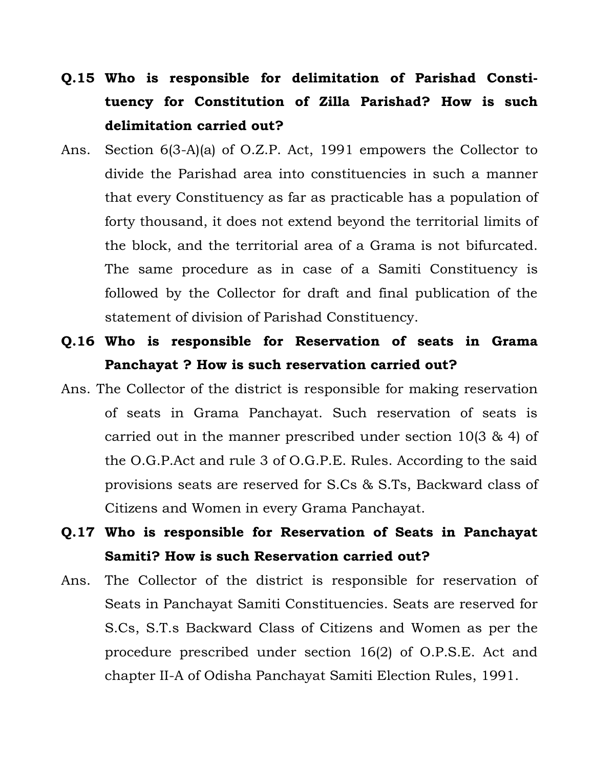- **Q.15 Who is responsible for delimitation of Parishad Constituency for Constitution of Zilla Parishad? How is such delimitation carried out?**
- Ans. Section 6(3-A)(a) of O.Z.P. Act, 1991 empowers the Collector to divide the Parishad area into constituencies in such a manner that every Constituency as far as practicable has a population of forty thousand, it does not extend beyond the territorial limits of the block, and the territorial area of a Grama is not bifurcated. The same procedure as in case of a Samiti Constituency is followed by the Collector for draft and final publication of the statement of division of Parishad Constituency.
- **Q.16 Who is responsible for Reservation of seats in Grama Panchayat ? How is such reservation carried out?**
- Ans. The Collector of the district is responsible for making reservation of seats in Grama Panchayat. Such reservation of seats is carried out in the manner prescribed under section 10(3 & 4) of the O.G.P.Act and rule 3 of O.G.P.E. Rules. According to the said provisions seats are reserved for S.Cs & S.Ts, Backward class of Citizens and Women in every Grama Panchayat.
- **Q.17 Who is responsible for Reservation of Seats in Panchayat Samiti? How is such Reservation carried out?**
- Ans. The Collector of the district is responsible for reservation of Seats in Panchayat Samiti Constituencies. Seats are reserved for S.Cs, S.T.s Backward Class of Citizens and Women as per the procedure prescribed under section 16(2) of O.P.S.E. Act and chapter II-A of Odisha Panchayat Samiti Election Rules, 1991.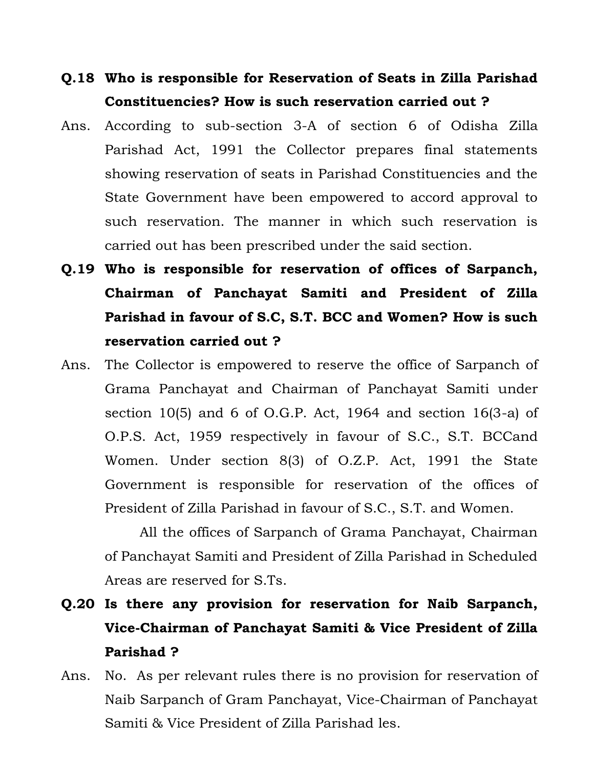## **Q.18 Who is responsible for Reservation of Seats in Zilla Parishad Constituencies? How is such reservation carried out ?**

- Ans. According to sub-section 3-A of section 6 of Odisha Zilla Parishad Act, 1991 the Collector prepares final statements showing reservation of seats in Parishad Constituencies and the State Government have been empowered to accord approval to such reservation. The manner in which such reservation is carried out has been prescribed under the said section.
- **Q.19 Who is responsible for reservation of offices of Sarpanch, Chairman of Panchayat Samiti and President of Zilla Parishad in favour of S.C, S.T. BCC and Women? How is such reservation carried out ?**
- Ans. The Collector is empowered to reserve the office of Sarpanch of Grama Panchayat and Chairman of Panchayat Samiti under section 10(5) and 6 of O.G.P. Act, 1964 and section 16(3-a) of O.P.S. Act, 1959 respectively in favour of S.C., S.T. BCCand Women. Under section 8(3) of O.Z.P. Act, 1991 the State Government is responsible for reservation of the offices of President of Zilla Parishad in favour of S.C., S.T. and Women.

All the offices of Sarpanch of Grama Panchayat, Chairman of Panchayat Samiti and President of Zilla Parishad in Scheduled Areas are reserved for S.Ts.

- **Q.20 Is there any provision for reservation for Naib Sarpanch, Vice-Chairman of Panchayat Samiti & Vice President of Zilla Parishad ?**
- Ans. No. As per relevant rules there is no provision for reservation of Naib Sarpanch of Gram Panchayat, Vice-Chairman of Panchayat Samiti & Vice President of Zilla Parishad les.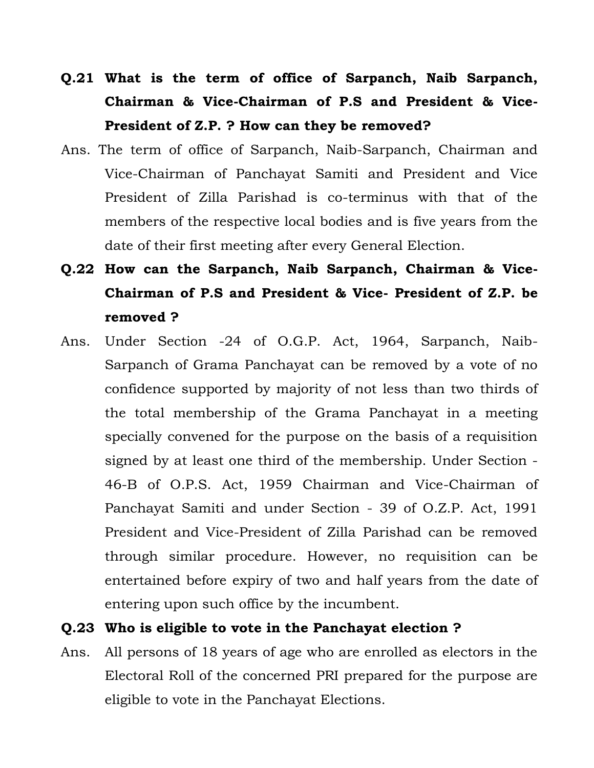# **Q.21 What is the term of office of Sarpanch, Naib Sarpanch, Chairman & Vice-Chairman of P.S and President & Vice-President of Z.P. ? How can they be removed?**

- Ans. The term of office of Sarpanch, Naib-Sarpanch, Chairman and Vice-Chairman of Panchayat Samiti and President and Vice President of Zilla Parishad is co-terminus with that of the members of the respective local bodies and is five years from the date of their first meeting after every General Election.
- **Q.22 How can the Sarpanch, Naib Sarpanch, Chairman & Vice-Chairman of P.S and President & Vice- President of Z.P. be removed ?**
- Ans. Under Section -24 of O.G.P. Act, 1964, Sarpanch, Naib-Sarpanch of Grama Panchayat can be removed by a vote of no confidence supported by majority of not less than two thirds of the total membership of the Grama Panchayat in a meeting specially convened for the purpose on the basis of a requisition signed by at least one third of the membership. Under Section - 46-B of O.P.S. Act, 1959 Chairman and Vice-Chairman of Panchayat Samiti and under Section - 39 of O.Z.P. Act, 1991 President and Vice-President of Zilla Parishad can be removed through similar procedure. However, no requisition can be entertained before expiry of two and half years from the date of entering upon such office by the incumbent.

#### **Q.23 Who is eligible to vote in the Panchayat election ?**

Ans. All persons of 18 years of age who are enrolled as electors in the Electoral Roll of the concerned PRI prepared for the purpose are eligible to vote in the Panchayat Elections.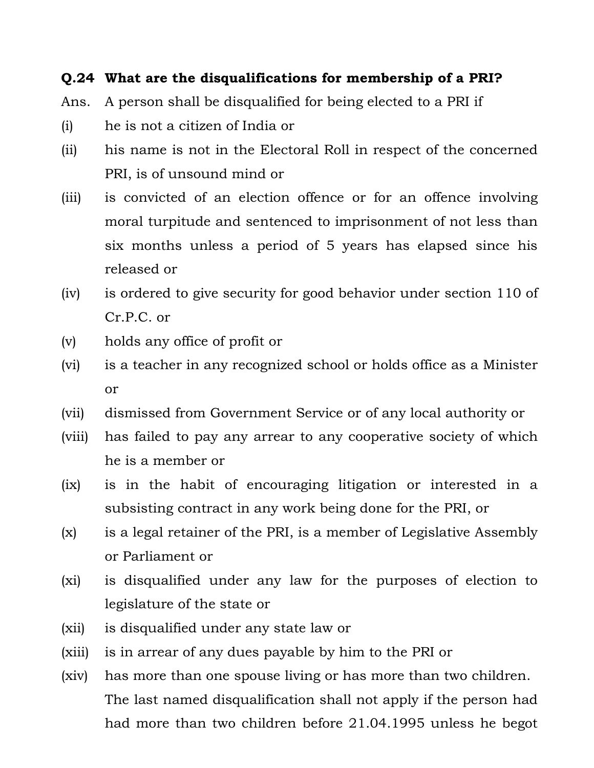### **Q.24 What are the disqualifications for membership of a PRI?**

- Ans. A person shall be disqualified for being elected to a PRI if
- (i) he is not a citizen of India or
- (ii) his name is not in the Electoral Roll in respect of the concerned PRI, is of unsound mind or
- (iii) is convicted of an election offence or for an offence involving moral turpitude and sentenced to imprisonment of not less than six months unless a period of 5 years has elapsed since his released or
- (iv) is ordered to give security for good behavior under section 110 of Cr.P.C. or
- (v) holds any office of profit or
- (vi) is a teacher in any recognized school or holds office as a Minister or
- (vii) dismissed from Government Service or of any local authority or
- (viii) has failed to pay any arrear to any cooperative society of which he is a member or
- (ix) is in the habit of encouraging litigation or interested in a subsisting contract in any work being done for the PRI, or
- (x) is a legal retainer of the PRI, is a member of Legislative Assembly or Parliament or
- (xi) is disqualified under any law for the purposes of election to legislature of the state or
- (xii) is disqualified under any state law or
- (xiii) is in arrear of any dues payable by him to the PRI or
- (xiv) has more than one spouse living or has more than two children. The last named disqualification shall not apply if the person had had more than two children before 21.04.1995 unless he begot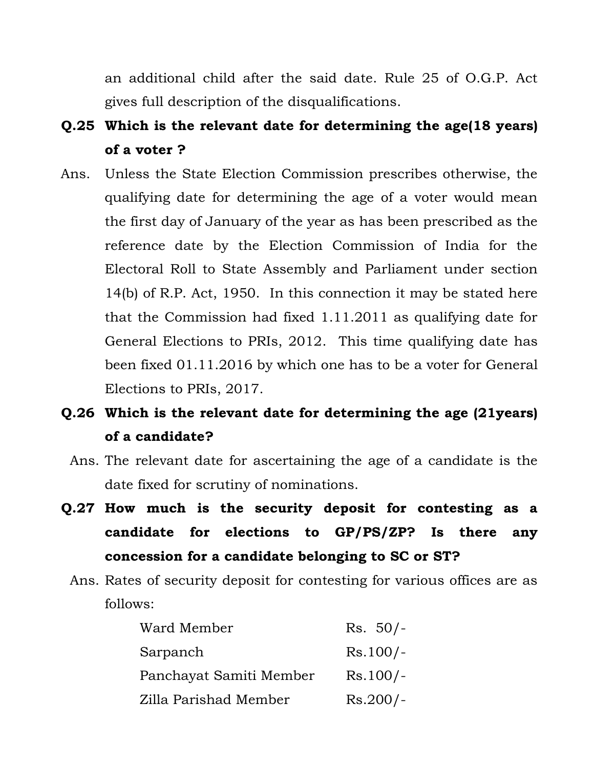an additional child after the said date. Rule 25 of O.G.P. Act gives full description of the disqualifications.

- **Q.25 Which is the relevant date for determining the age(18 years) of a voter ?**
- Ans. Unless the State Election Commission prescribes otherwise, the qualifying date for determining the age of a voter would mean the first day of January of the year as has been prescribed as the reference date by the Election Commission of India for the Electoral Roll to State Assembly and Parliament under section 14(b) of R.P. Act, 1950. In this connection it may be stated here that the Commission had fixed 1.11.2011 as qualifying date for General Elections to PRIs, 2012. This time qualifying date has been fixed 01.11.2016 by which one has to be a voter for General Elections to PRIs, 2017.
- **Q.26 Which is the relevant date for determining the age (21years) of a candidate?** 
	- Ans. The relevant date for ascertaining the age of a candidate is the date fixed for scrutiny of nominations.
- **Q.27 How much is the security deposit for contesting as a candidate for elections to GP/PS/ZP? Is there any concession for a candidate belonging to SC or ST?** 
	- Ans. Rates of security deposit for contesting for various offices are as follows:

| Ward Member             | $Rs. 50/-$ |
|-------------------------|------------|
| Sarpanch                | $Rs.100/-$ |
| Panchayat Samiti Member | $Rs.100/-$ |
| Zilla Parishad Member   | $Rs.200/-$ |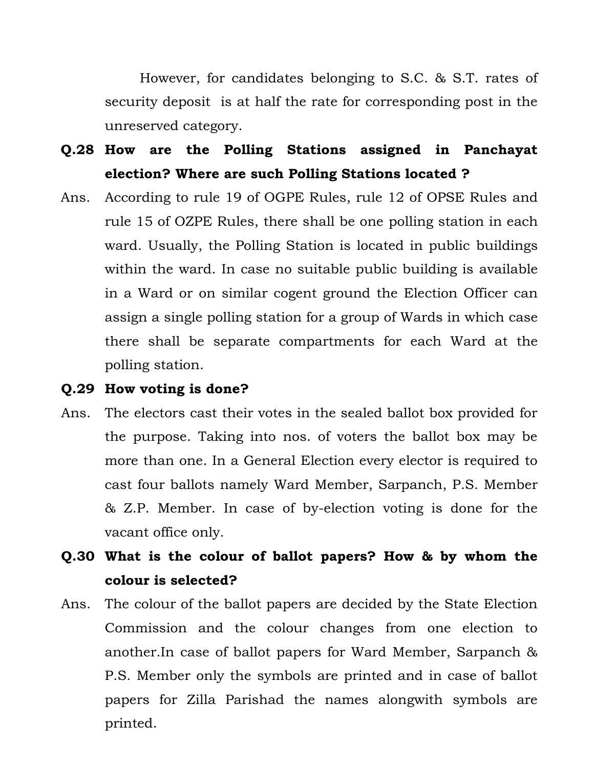However, for candidates belonging to S.C. & S.T. rates of security deposit is at half the rate for corresponding post in the unreserved category.

## **Q.28 How are the Polling Stations assigned in Panchayat election? Where are such Polling Stations located ?**

Ans. According to rule 19 of OGPE Rules, rule 12 of OPSE Rules and rule 15 of OZPE Rules, there shall be one polling station in each ward. Usually, the Polling Station is located in public buildings within the ward. In case no suitable public building is available in a Ward or on similar cogent ground the Election Officer can assign a single polling station for a group of Wards in which case there shall be separate compartments for each Ward at the polling station.

#### **Q.29 How voting is done?**

- Ans. The electors cast their votes in the sealed ballot box provided for the purpose. Taking into nos. of voters the ballot box may be more than one. In a General Election every elector is required to cast four ballots namely Ward Member, Sarpanch, P.S. Member & Z.P. Member. In case of by-election voting is done for the vacant office only.
- **Q.30 What is the colour of ballot papers? How & by whom the colour is selected?**
- Ans. The colour of the ballot papers are decided by the State Election Commission and the colour changes from one election to another.In case of ballot papers for Ward Member, Sarpanch & P.S. Member only the symbols are printed and in case of ballot papers for Zilla Parishad the names alongwith symbols are printed.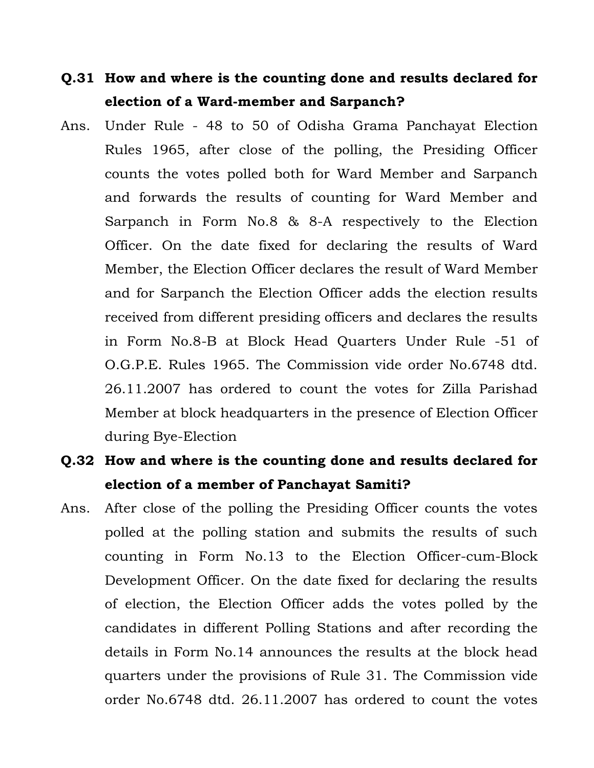## **Q.31 How and where is the counting done and results declared for election of a Ward-member and Sarpanch?**

Ans. Under Rule - 48 to 50 of Odisha Grama Panchayat Election Rules 1965, after close of the polling, the Presiding Officer counts the votes polled both for Ward Member and Sarpanch and forwards the results of counting for Ward Member and Sarpanch in Form No.8 & 8-A respectively to the Election Officer. On the date fixed for declaring the results of Ward Member, the Election Officer declares the result of Ward Member and for Sarpanch the Election Officer adds the election results received from different presiding officers and declares the results in Form No.8-B at Block Head Quarters Under Rule -51 of O.G.P.E. Rules 1965. The Commission vide order No.6748 dtd. 26.11.2007 has ordered to count the votes for Zilla Parishad Member at block headquarters in the presence of Election Officer during Bye-Election

## **Q.32 How and where is the counting done and results declared for election of a member of Panchayat Samiti?**

Ans. After close of the polling the Presiding Officer counts the votes polled at the polling station and submits the results of such counting in Form No.13 to the Election Officer-cum-Block Development Officer. On the date fixed for declaring the results of election, the Election Officer adds the votes polled by the candidates in different Polling Stations and after recording the details in Form No.14 announces the results at the block head quarters under the provisions of Rule 31. The Commission vide order No.6748 dtd. 26.11.2007 has ordered to count the votes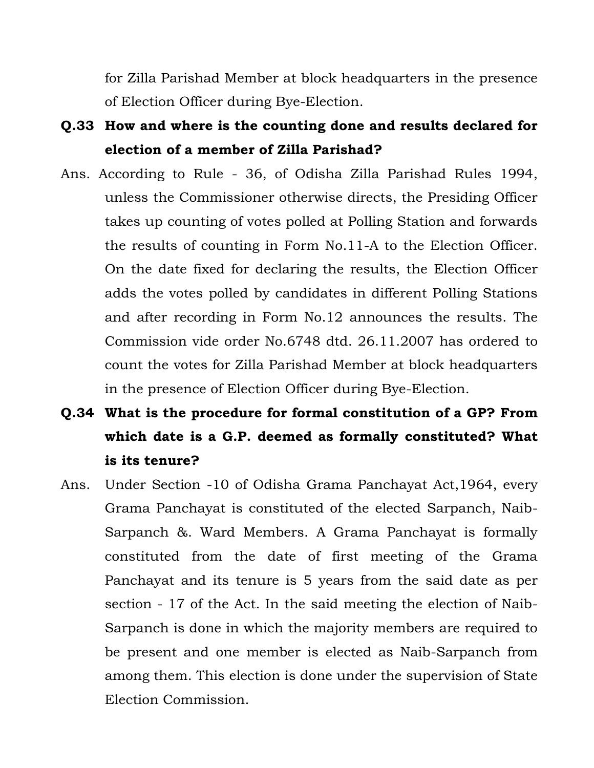for Zilla Parishad Member at block headquarters in the presence of Election Officer during Bye-Election.

- **Q.33 How and where is the counting done and results declared for election of a member of Zilla Parishad?**
- Ans. According to Rule 36, of Odisha Zilla Parishad Rules 1994, unless the Commissioner otherwise directs, the Presiding Officer takes up counting of votes polled at Polling Station and forwards the results of counting in Form No.11-A to the Election Officer. On the date fixed for declaring the results, the Election Officer adds the votes polled by candidates in different Polling Stations and after recording in Form No.12 announces the results. The Commission vide order No.6748 dtd. 26.11.2007 has ordered to count the votes for Zilla Parishad Member at block headquarters in the presence of Election Officer during Bye-Election.
- **Q.34 What is the procedure for formal constitution of a GP? From which date is a G.P. deemed as formally constituted? What is its tenure?**
- Ans. Under Section -10 of Odisha Grama Panchayat Act,1964, every Grama Panchayat is constituted of the elected Sarpanch, Naib-Sarpanch &. Ward Members. A Grama Panchayat is formally constituted from the date of first meeting of the Grama Panchayat and its tenure is 5 years from the said date as per section - 17 of the Act. In the said meeting the election of Naib-Sarpanch is done in which the majority members are required to be present and one member is elected as Naib-Sarpanch from among them. This election is done under the supervision of State Election Commission.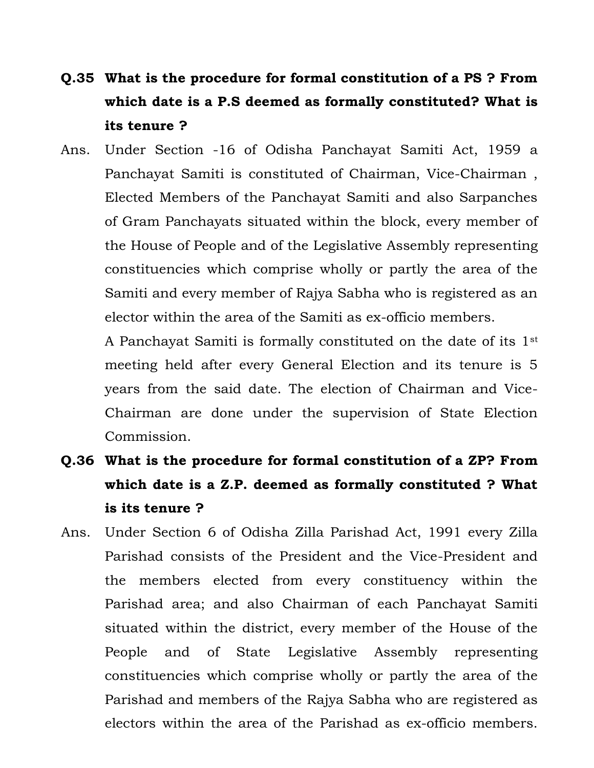# **Q.35 What is the procedure for formal constitution of a PS ? From which date is a P.S deemed as formally constituted? What is its tenure ?**

Ans. Under Section -16 of Odisha Panchayat Samiti Act, 1959 a Panchayat Samiti is constituted of Chairman, Vice-Chairman , Elected Members of the Panchayat Samiti and also Sarpanches of Gram Panchayats situated within the block, every member of the House of People and of the Legislative Assembly representing constituencies which comprise wholly or partly the area of the Samiti and every member of Rajya Sabha who is registered as an elector within the area of the Samiti as ex-officio members.

A Panchayat Samiti is formally constituted on the date of its 1st meeting held after every General Election and its tenure is 5 years from the said date. The election of Chairman and Vice-Chairman are done under the supervision of State Election Commission.

- **Q.36 What is the procedure for formal constitution of a ZP? From which date is a Z.P. deemed as formally constituted ? What is its tenure ?**
- Ans. Under Section 6 of Odisha Zilla Parishad Act, 1991 every Zilla Parishad consists of the President and the Vice-President and the members elected from every constituency within the Parishad area; and also Chairman of each Panchayat Samiti situated within the district, every member of the House of the People and of State Legislative Assembly representing constituencies which comprise wholly or partly the area of the Parishad and members of the Rajya Sabha who are registered as electors within the area of the Parishad as ex-officio members.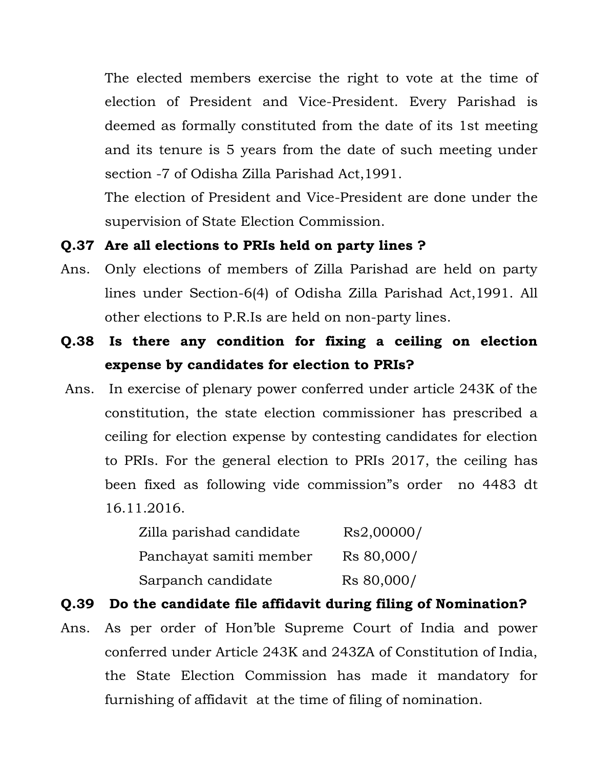The elected members exercise the right to vote at the time of election of President and Vice-President. Every Parishad is deemed as formally constituted from the date of its 1st meeting and its tenure is 5 years from the date of such meeting under section -7 of Odisha Zilla Parishad Act,1991.

The election of President and Vice-President are done under the supervision of State Election Commission.

#### **Q.37 Are all elections to PRIs held on party lines ?**

- Ans. Only elections of members of Zilla Parishad are held on party lines under Section-6(4) of Odisha Zilla Parishad Act,1991. All other elections to P.R.Is are held on non-party lines.
- **Q.38 Is there any condition for fixing a ceiling on election expense by candidates for election to PRIs?**
- Ans. In exercise of plenary power conferred under article 243K of the constitution, the state election commissioner has prescribed a ceiling for election expense by contesting candidates for election to PRIs. For the general election to PRIs 2017, the ceiling has been fixed as following vide commission"s order no 4483 dt 16.11.2016.

| Zilla parishad candidate | Rs2,00000/ |
|--------------------------|------------|
| Panchayat samiti member  | Rs 80,000/ |
| Sarpanch candidate       | Rs 80,000/ |

### **Q.39 Do the candidate file affidavit during filing of Nomination?**

Ans. As per order of Hon'ble Supreme Court of India and power conferred under Article 243K and 243ZA of Constitution of India, the State Election Commission has made it mandatory for furnishing of affidavit at the time of filing of nomination.